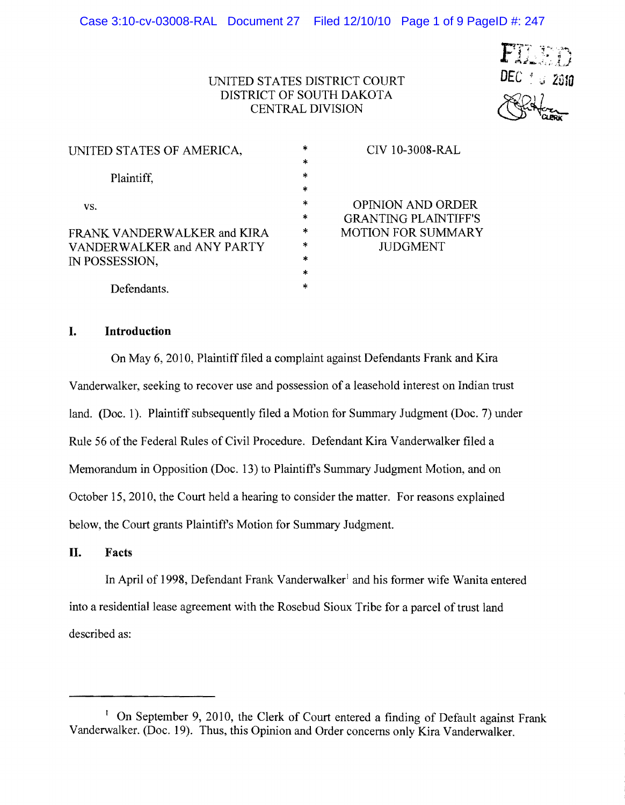# $DEC \stackrel{\circ}{\scriptstyle\circ}$   $\scriptstyle\circ$  2010

# UNITED STATES DISTRICT COURT DISTRICT OF SOUTH DAKOTA CENTRAL DIVISION

| UNITED STATES OF AMERICA,   | $\ast$ | CIV 10-3008-RAL             |
|-----------------------------|--------|-----------------------------|
|                             | *      |                             |
| Plaintiff,                  | $\ast$ |                             |
|                             | $\ast$ |                             |
| VS.                         | *      | <b>OPINION AND ORDER</b>    |
|                             | *      | <b>GRANTING PLAINTIFF'S</b> |
| FRANK VANDERWALKER and KIRA | $\ast$ | <b>MOTION FOR SUMMARY</b>   |
| VANDERWALKER and ANY PARTY  | ∗      | <b>JUDGMENT</b>             |
| IN POSSESSION.              | $\ast$ |                             |
|                             | $\ast$ |                             |
| Defendants.                 | $\ast$ |                             |

# **I. Introduction**

On May 6,2010, Plaintiff filed a complaint against Defendants Frank and Kira Vanderwalker, seeking to recover use and possession of a leasehold interest on Indian trust land. (Doc. 1). Plaintiff subsequently filed a Motion for Summary Judgment (Doc. 7) under Rule 56 of the Federal Rules of Civil Procedure. Defendant Kira Vanderwalker filed a Memorandum in Opposition (Doc. 13) to Plaintiff's Summary Judgment Motion, and on October 15,2010, the Court held a hearing to consider the matter. For reasons explained below, the Court grants Plaintiff's Motion for Summary Judgment.

# **II. Facts**

In April of 1998, Defendant Frank Vanderwalker<sup>1</sup> and his former wife Wanita entered into a residential lease agreement with the Rosebud Sioux Tribe for a parcel of trust land described as:

<sup>&</sup>lt;sup>1</sup> On September 9, 2010, the Clerk of Court entered a finding of Default against Frank Vanderwalker. (Doc. 19). Thus, this Opinion and Order concerns only Kira Vanderwalker.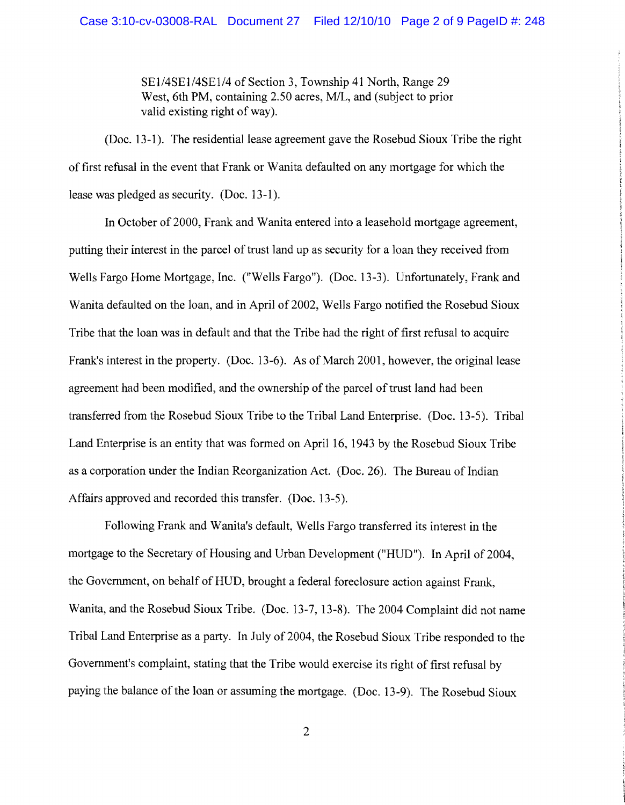SE1/4SE1/4SE1/4 of Section 3, Township 41 North, Range 29 West, 6th PM, containing 2.50 acres, M/L, and (subject to prior valid existing right of way).

(Doc. 13-1). The residential lease agreement gave the Rosebud Sioux Tribe the right of first refusal in the event that Frank or Wanita defaulted on any mortgage for which the lease was pledged as security. (Doc. 13-1).

**In** October of2000, Frank and Wanita entered into a leasehold mortgage agreement, putting their interest in the parcel of trust land up as security for a loan they received from Wells Fargo Home Mortgage, Inc. ("Wells Fargo"). (Doc. 13-3). Unfortunately, Frank and Wanita defaulted on the loan, and in April of 2002, Wells Fargo notified the Rosebud Sioux Tribe that the loan was in default and that the Tribe had the right of first refusal to acquire Frank's interest in the property. (Doc. 13-6). As of March 2001, however, the original lease agreement had been modified, and the ownership of the parcel of trust land had been transferred from the Rosebud Sioux Tribe to the Tribal Land Enterprise. (Doc. 13-5). Tribal Land Enterprise is an entity that was formed on April 16, 1943 by the Rosebud Sioux Tribe as a corporation under the Indian Reorganization Act. (Doc. 26). The Bureau of Indian Affairs approved and recorded this transfer. (Doc. 13-5).

Following Frank and Wanita's default, Wells Fargo transferred its interest in the mortgage to the Secretary of Housing and Urban Development ("HUD"). In April of 2004, the Government, on behalf of HUD, brought a federal foreclosure action against Frank, Wanita, and the Rosebud Sioux Tribe. (Doc. 13-7, 13-8). The 2004 Complaint did not name Tribal Land Enterprise as a party. **In** July of 2004, the Rosebud Sioux Tribe responded to the Government's complaint, stating that the Tribe would exercise its right of first refusal by paying the balance of the loan or assuming the mortgage. (Doc. 13-9). The Rosebud Sioux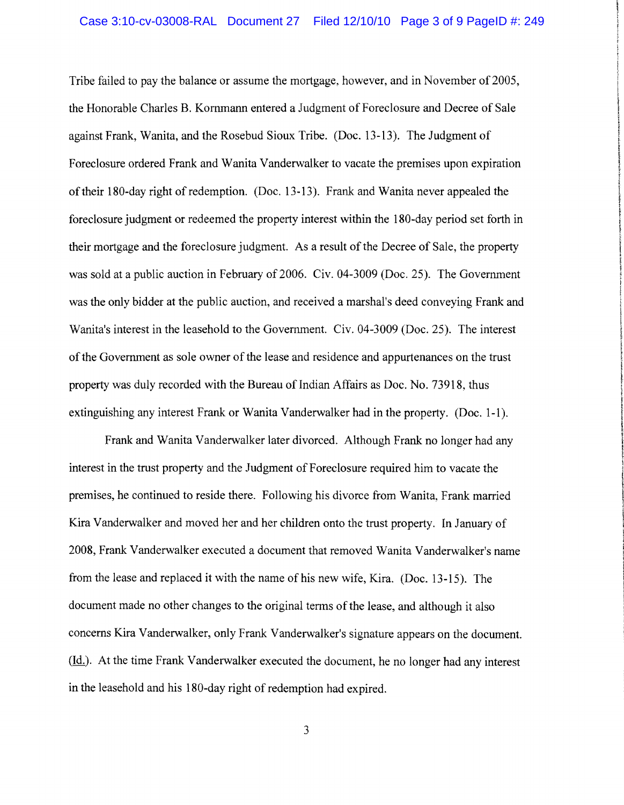I

**International** 

I.<br>International

,

Tribe failed to pay the balance or assume the mortgage, however, and in November of 2005, the Honorable Charles B. Kornmann entered a Judgment of Foreclosure and Decree of Sale 1 against Frank, Wanita, and the Rosebud Sioux Tribe. (Doc. 13-13). The Judgment of 1 Foreclosure ordered Frank and Wanita Vanderwalker to vacate the premises upon expiration of their 180-day right of redemption. (Doc. 13-13). Frank and Wanita never appealed the foreclosure judgment or redeemed the property interest within the 180-day period set forth in their mortgage and the foreclosure judgment. As a result of the Decree of Sale, the property was sold at a public auction in February of 2006. Civ. 04-3009 (Doc. 25). The Government was the only bidder at the public auction, and received a marshal's deed conveying Frank and Wanita's interest in the leasehold to the Government. Civ. 04-3009 (Doc. 25). The interest of the Government as sole owner of the lease and residence and appurtenances on the trust property was duly recorded with the Bureau of Indian Affairs as Doc. No. 73918, thus extinguishing any interest Frank or Wanita Vanderwalker had in the property. (Doc. 1-1).

Frank and Wanita Vanderwalker later divorced. Although Frank no longer had any I interest in the trust property and the Judgment of Foreclosure required him to vacate the premises, he continued to reside there. Following his divorce from Wanita, Frank married Kira Vanderwalker and moved her and her children onto the trust property. In January of 2008, Frank Vanderwalker executed a document that removed Wanita Vanderwalker's name from the lease and replaced it with the name of his new wife, Kira. (Doc. 13-15). The document made no other changes to the original terms of the lease, and although it also concerns Kira Vanderwalker, only Frank Vanderwalker's signature appears on the document. (Id.). At the time Frank Vanderwalker executed the document, he no longer had any interest in the leasehold and his 180-day right of redemption had expired.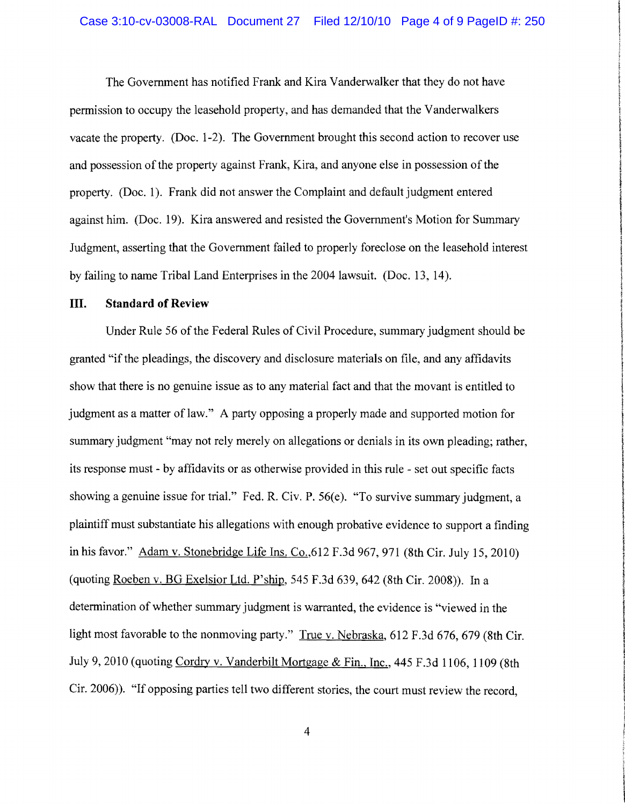the community of

! !

**INVESTIGATION** 

finales in

**I** 

t

**In developed a combined bill complete** 

**handelaber** 

**IN THE REAL PROPERTY AND hidden** 

*<u>incoment</u>* 

*<u>ALCORATION CONTINUES.</u>* 

The Government has notified Frank and Kira Vanderwalker that they do not have permission to occupy the leasehold property, and has demanded that the Vanderwalkers vacate the property. (Doc. 1-2). The Government brought this second action to recover use and possession of the property against Frank, Kira, and anyone else in possession of the property. (Doc. 1). Frank did not answer the Complaint and default judgment entered against him. (Doc. 19). Kira answered and resisted the Government's Motion for Summary Judgment, asserting that the Government failed to properly foreclose on the leasehold interest by failing to name Tribal Land Enterprises in the 2004 lawsuit. (Doc. 13, 14).

#### **III.** Standard of Review

Under Rule 56 of the Federal Rules of Civil Procedure, summary judgment should be granted "if the pleadings, the discovery and disclosure materials on file, and any affidavits show that there is no genuine issue as to any material fact and that the movant is entitled to judgment as a matter of law." A party opposing a properly made and supported motion for summary judgment "may not rely merely on allegations or denials in its own pleading; rather, its response must - by affidavits or as otherwise provided in this rule - set out specific facts showing a genuine issue for trial." Fed. R. Civ. P. 56(e). "To survive summary judgment, a plaintiff must substantiate his allegations with enough probative evidence to support a finding in his favor." Adam v. Stonebridge Life Ins. Co.,  $612$  F.3d 967, 971 (8th Cir. July 15, 2010) (quoting Roeben v. BG Exelsior Ltd. P'ship, 545 F.3d 639,642 (8th Cir. 2008». In a I determination of whether summary judgment is warranted, the evidence is "viewed in the light most favorable to the nonmoving party." True v. Nebraska, 612 F.3d 676, 679 (8th Cir. July 9, 2010 (quoting Cordry v. Vanderbilt Mortgage & Fin., Inc., 445 F.3d 1106, 1109 (8th Cir. 2006). "If opposing parties tell two different stories, the court must review the record.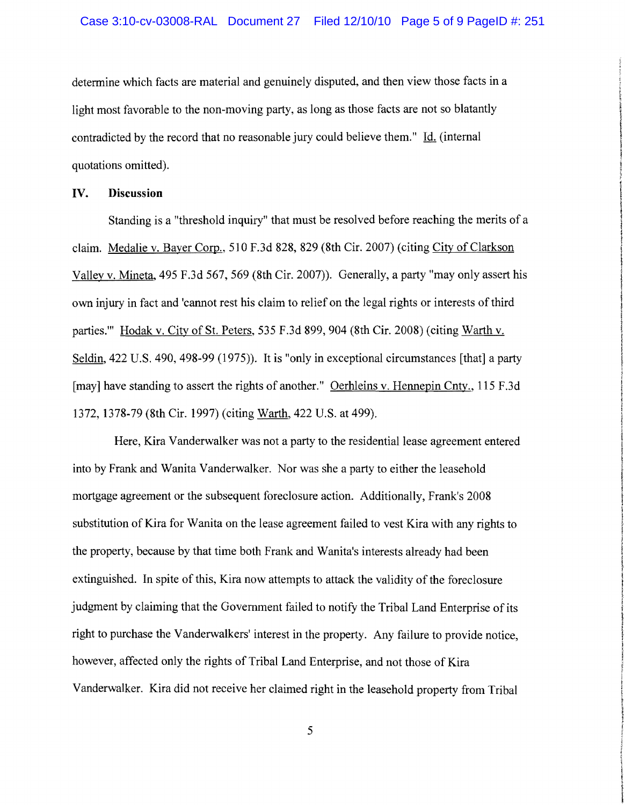determine which facts are material and genuinely disputed, and then view those facts in a light most favorable to the non-moving party, as long as those facts are not so blatantly contradicted by the record that no reasonable jury could believe them." Id. (internal quotations omitted).

# **IV. Discussion**

Standing is a "threshold inquiry" that must be resolved before reaching the merits of a claim. Medalie v. Bayer Corp., 510 F.3d 828, 829 (8th Cir. 2007) (citing City of Clarkson Valley v. Mineta, 495 F.3d 567, 569 (8th Cir. 2007)). Generally, a party "may only assert his own injury in fact and 'cannot rest his claim to relief on the legal rights or interests of third parties." Hodak v. City of St. Peters, 535 F.3d 899, 904 (8th Cir. 2008) (citing Warth v. Seldin, 422 U.S. 490, 498-99 (1975)). It is "only in exceptional circumstances [that] a party [may] have standing to assert the rights of another." Oerhleins v. Hennepin Cnty., 115 F.3d 1372, 1378-79 (8th Cir. 1997) (citing Warth, 422 U.S. at 499).

**International** 

I<br>I<br>I<br>I<br>I<br>I<br>I

!

**Children** Complete

~

 $\overline{\phantom{a}}$ 

Here, Kira Vanderwalker was not a party to the residential lease agreement entered into by Frank and Wanita Vanderwalker. Nor was she a party to either the leasehold mortgage agreement or the subsequent foreclosure action. Additionally, Frank's 2008 substitution of Kira for Wanita on the lease agreement failed to vest Kira with any rights to the property, because by that time both Frank and Wanita's interests already had been extinguished. In spite of this, Kira now attempts to attack the validity of the foreclosure judgment by claiming that the Government failed to notify the Tribal Land Enterprise of its right to purchase the Vanderwalkers' interest in the property. Any failure to provide notice, however, affected only the rights of Tribal Land Enterprise, and not those of Kira Vanderwalker. Kira did not receive her claimed right in the leasehold property from Tribal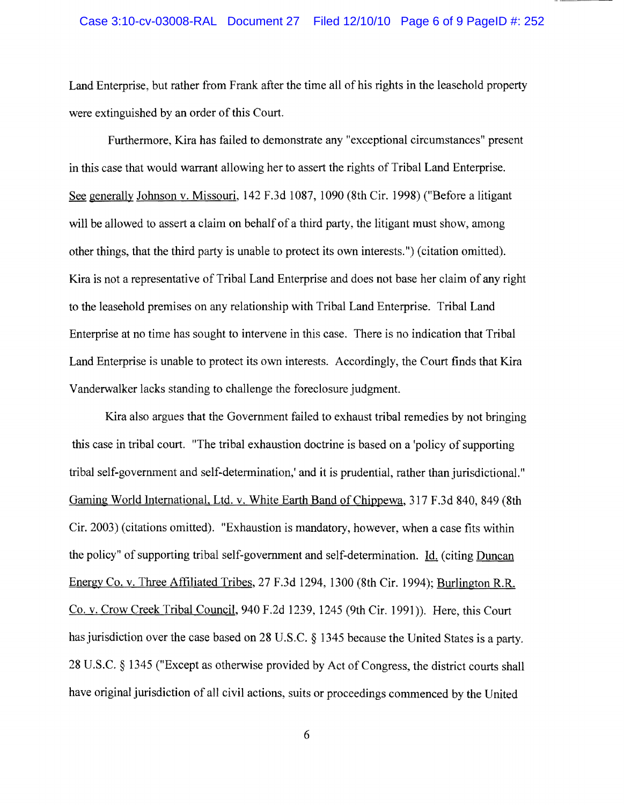Land Enterprise, but rather from Frank after the time all of his rights in the leasehold property were extinguished by an order of this Court.

Furthermore, Kira has failed to demonstrate any "exceptional circumstances" present in this case that would warrant allowing her to assert the rights of Tribal Land Enterprise. See generally Johnson v. Missouri, 142 F .3d 1087, 1090 (8th Cir. 1998) ("Before a litigant will be allowed to assert a claim on behalf of a third party, the litigant must show, among other things, that the third party is unable to protect its own interests.") (citation omitted). Kira is not a representative of Tribal Land Enterprise and does not base her claim of any right to the leasehold premises on any relationship with Tribal Land Enterprise. Tribal Land Enterprise at no time has sought to intervene in this case. There is no indication that Tribal Land Enterprise is unable to protect its own interests. Accordingly, the Court finds that Kira Vanderwalker lacks standing to challenge the foreclosure judgment.

Kira also argues that the Government failed to exhaust tribal remedies by not bringing this case in tribal court. "The tribal exhaustion doctrine is based on a 'policy of supporting tribal self-government and self-determination,' and it is prudential, rather than jurisdictional." Gaming World International, Ltd. v. White Earth Band of Chippewa, 317 F.3d 840, 849 (8th Cir. 2003) (citations omitted). "Exhaustion is mandatory, however, when a case fits within the policy" of supporting tribal self-government and self-determination. Id. (citing Duncan Energy Co. v. Three Affiliated Tribes, 27 F.3d 1294, 1300 (8th Cir. 1994); Burlington R.R. Co. v. Crow Creek Tribal Council, 940 F.2d 1239, 1245 (9th Cir. 1991 )). Here, this Court has jurisdiction over the case based on 28 U.S.C. § 1345 because the United States is a party. 28 U.S.C. § 1345 ("Except as otherwise provided by Act of Congress, the district courts shall have original jurisdiction of all civil actions, suits or proceedings commenced by the United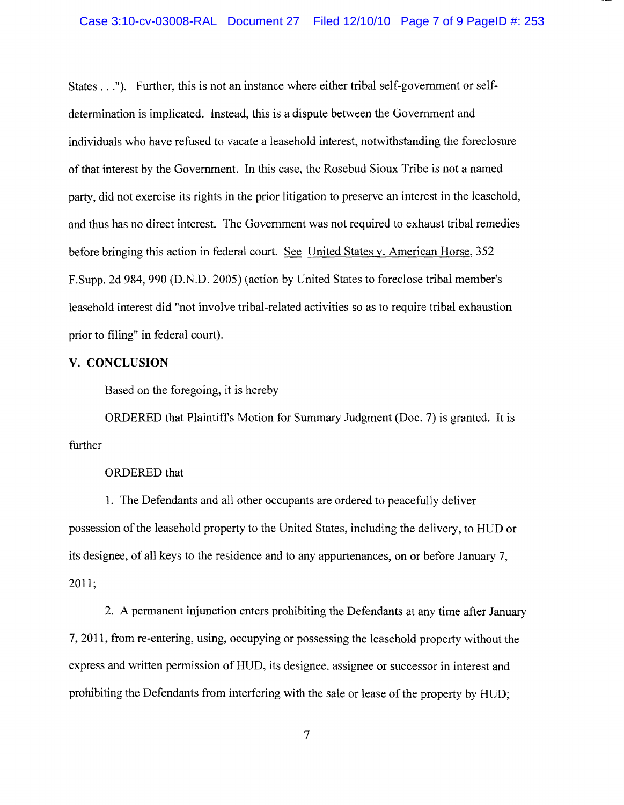States ..."). Further, this is not an instance where either tribal self-government or selfdetermination is implicated. Instead, this is a dispute between the Government and individuals who have refused to vacate a leasehold interest, notwithstanding the foreclosure of that interest by the Government. In this case, the Rosebud Sioux Tribe is not a named party, did not exercise its rights in the prior litigation to preserve an interest in the leasehold, and thus has no direct interest. The Government was not required to exhaust tribal remedies before bringing this action in federal court. See United States v. American Horse, 352 F.Supp. 2d 984,990 (D.N.D. 2005) (action by United States to foreclose tribal member's leasehold interest did "not involve tribal-related activities so as to require tribal exhaustion prior to filing" in federal court).

# **V. CONCLUSION**

Based on the foregoing, it is hereby

ORDERED that Plaintiffs Motion for Summary Judgment (Doc. 7) is granted. It is further

# ORDERED that

1. The Defendants and all other occupants are ordered to peacefully deliver possession of the leasehold property to the United States, including the delivery, to HUD or its designee, of all keys to the residence and to any appurtenances, on or before January 7, 2011;

2. A permanent injunction enters prohibiting the Defendants at any time after January 7,2011, from re-entering, using, occupying or possessing the leasehold property without the express and written permission of HUD, its designee, assignee or successor in interest and prohibiting the Defendants from interfering with the sale or lease of the property by HUD;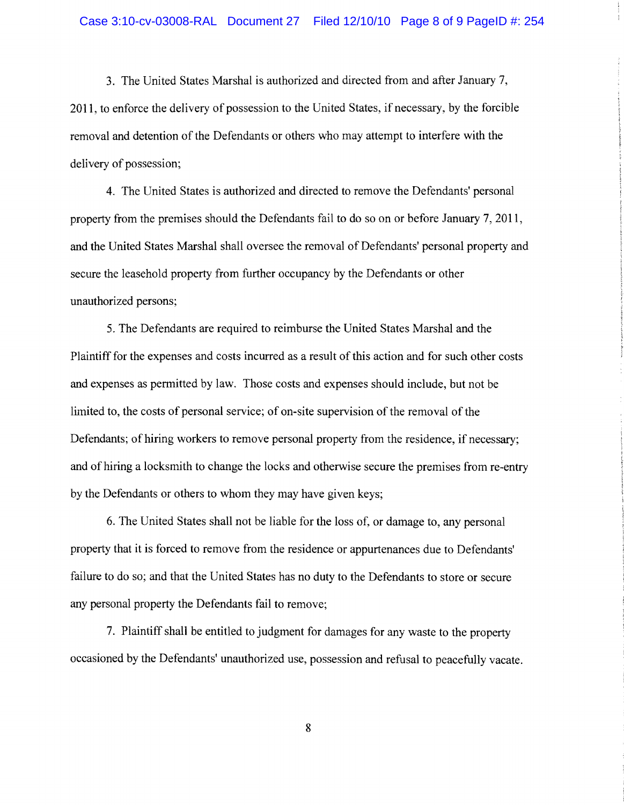3. The United States Marshal is authorized and directed from and after January 7, 2011, to enforce the delivery of possession to the United States, if necessary, by the forcible removal and detention of the Defendants or others who may attempt to interfere with the delivery of possession;

4. The United States is authorized and directed to remove the Defendants' personal property from the premises should the Defendants fail to do so on or before January 7, 2011, and the United States Marshal shall oversee the removal of Defendants' personal property and secure the leasehold property from further occupancy by the Defendants or other unauthorized persons;

5. The Defendants are required to reimburse the United States Marshal and the Plaintiff for the expenses and costs incurred as a result of this action and for such other costs and expenses as permitted by law. Those costs and expenses should include, but not be limited to, the costs of personal service; of on-site supervision of the removal of the Defendants; of hiring workers to remove personal property from the residence, if necessary; and of hiring a locksmith to change the locks and otherwise secure the premises from re-entry by the Defendants or others to whom they may have given keys;

6. The United States shall not be liable for the loss of, or damage to, any personal property that it is forced to remove from the residence or appurtenances due to Defendants' failure to do so; and that the United States has no duty to the Defendants to store or secure any personal property the Defendants fail to remove;

7. Plaintiff shall be entitled to judgment for damages for any waste to the property occasioned by the Defendants' unauthorized use, possession and refusal to peacefully vacate.